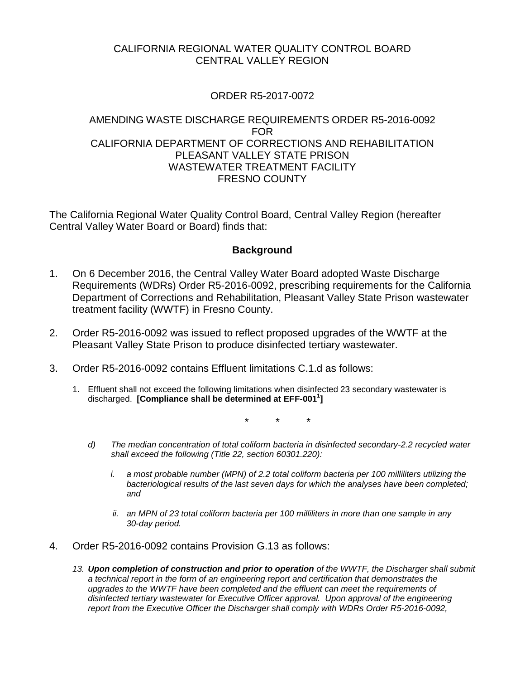## CALIFORNIA REGIONAL WATER QUALITY CONTROL BOARD CENTRAL VALLEY REGION

# ORDER R5-2017-0072

## AMENDING WASTE DISCHARGE REQUIREMENTS ORDER R5-2016-0092 FOR CALIFORNIA DEPARTMENT OF CORRECTIONS AND REHABILITATION PLEASANT VALLEY STATE PRISON WASTEWATER TREATMENT FACILITY FRESNO COUNTY

The California Regional Water Quality Control Board, Central Valley Region (hereafter Central Valley Water Board or Board) finds that:

#### **Background**

- 1. On 6 December 2016, the Central Valley Water Board adopted Waste Discharge Requirements (WDRs) Order R5-2016-0092, prescribing requirements for the California Department of Corrections and Rehabilitation, Pleasant Valley State Prison wastewater treatment facility (WWTF) in Fresno County.
- 2. Order R5-2016-0092 was issued to reflect proposed upgrades of the WWTF at the Pleasant Valley State Prison to produce disinfected tertiary wastewater.
- 3. Order R5-2016-0092 contains Effluent limitations C.1.d as follows:
	- 1. Effluent shall not exceed the following limitations when disinfected 23 secondary wastewater is discharged. **[Compliance shall be determined at EFF-0011 ]**

\* \* \*

- *d) The median concentration of total coliform bacteria in disinfected secondary-2.2 recycled water shall exceed the following (Title 22, section 60301.220):*
	- *i. a most probable number (MPN) of 2.2 total coliform bacteria per 100 milliliters utilizing the bacteriological results of the last seven days for which the analyses have been completed; and*
	- *ii. an MPN of 23 total coliform bacteria per 100 milliliters in more than one sample in any 30-day period.*
- 4. Order R5-2016-0092 contains Provision G.13 as follows:
	- *13. Upon completion of construction and prior to operation of the WWTF, the Discharger shall submit a technical report in the form of an engineering report and certification that demonstrates the*  upgrades to the WWTF have been completed and the effluent can meet the requirements of *disinfected tertiary wastewater for Executive Officer approval. Upon approval of the engineering report from the Executive Officer the Discharger shall comply with WDRs Order R5-2016-0092,*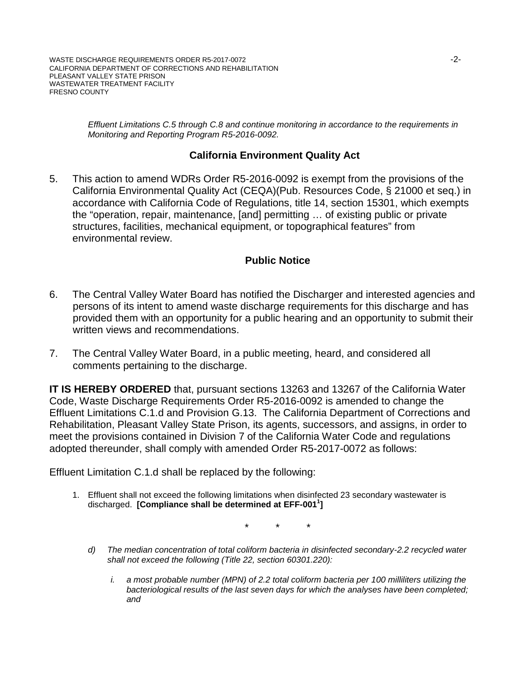*Effluent Limitations C.5 through C.8 and continue monitoring in accordance to the requirements in Monitoring and Reporting Program R5-2016-0092.*

## **California Environment Quality Act**

5. This action to amend WDRs Order R5-2016-0092 is exempt from the provisions of the California Environmental Quality Act (CEQA)(Pub. Resources Code, § 21000 et seq.) in accordance with California Code of Regulations, title 14, section 15301, which exempts the "operation, repair, maintenance, [and] permitting … of existing public or private structures, facilities, mechanical equipment, or topographical features" from environmental review.

### **Public Notice**

- 6. The Central Valley Water Board has notified the Discharger and interested agencies and persons of its intent to amend waste discharge requirements for this discharge and has provided them with an opportunity for a public hearing and an opportunity to submit their written views and recommendations.
- 7. The Central Valley Water Board, in a public meeting, heard, and considered all comments pertaining to the discharge.

**IT IS HEREBY ORDERED** that, pursuant sections 13263 and 13267 of the California Water Code, Waste Discharge Requirements Order R5-2016-0092 is amended to change the Effluent Limitations C.1.d and Provision G.13. The California Department of Corrections and Rehabilitation, Pleasant Valley State Prison, its agents, successors, and assigns, in order to meet the provisions contained in Division 7 of the California Water Code and regulations adopted thereunder, shall comply with amended Order R5-2017-0072 as follows:

Effluent Limitation C.1.d shall be replaced by the following:

1. Effluent shall not exceed the following limitations when disinfected 23 secondary wastewater is discharged. [Compliance shall be determined at EFF-001<sup>1</sup>]

\* \* \*

- *d) The median concentration of total coliform bacteria in disinfected secondary-2.2 recycled water shall not exceed the following (Title 22, section 60301.220):*
	- *i. a most probable number (MPN) of 2.2 total coliform bacteria per 100 milliliters utilizing the bacteriological results of the last seven days for which the analyses have been completed; and*